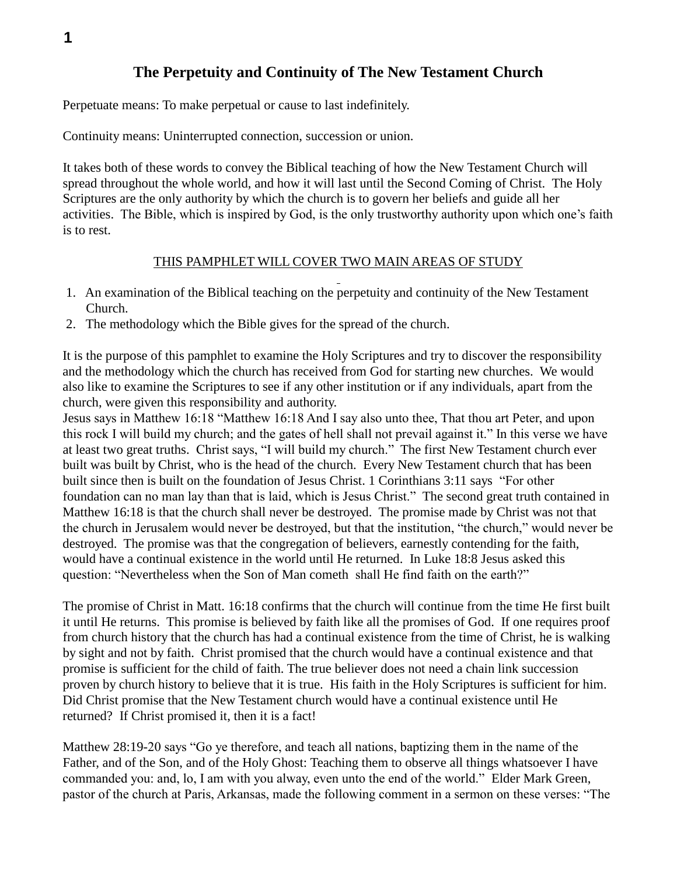## **The Perpetuity and Continuity of The New Testament Church**

Perpetuate means: To make perpetual or cause to last indefinitely.

Continuity means: Uninterrupted connection, succession or union.

It takes both of these words to convey the Biblical teaching of how the New Testament Church will spread throughout the whole world, and how it will last until the Second Coming of Christ. The Holy Scriptures are the only authority by which the church is to govern her beliefs and guide all her activities. The Bible, which is inspired by God, is the only trustworthy authority upon which one's faith is to rest.

## THIS PAMPHLET WILL COVER TWO MAIN AREAS OF STUDY

- 1. An examination of the Biblical teaching on the perpetuity and continuity of the New Testament Church.
- 2. The methodology which the Bible gives for the spread of the church.

It is the purpose of this pamphlet to examine the Holy Scriptures and try to discover the responsibility and the methodology which the church has received from God for starting new churches. We would also like to examine the Scriptures to see if any other institution or if any individuals, apart from the church, were given this responsibility and authority.

Jesus says in Matthew 16:18 "Matthew 16:18 And I say also unto thee, That thou art Peter, and upon this rock I will build my church; and the gates of hell shall not prevail against it." In this verse we have at least two great truths. Christ says, "I will build my church." The first New Testament church ever built was built by Christ, who is the head of the church. Every New Testament church that has been built since then is built on the foundation of Jesus Christ. 1 Corinthians 3:11 says "For other foundation can no man lay than that is laid, which is Jesus Christ." The second great truth contained in Matthew 16:18 is that the church shall never be destroyed. The promise made by Christ was not that the church in Jerusalem would never be destroyed, but that the institution, "the church," would never be destroyed. The promise was that the congregation of believers, earnestly contending for the faith, would have a continual existence in the world until He returned. In Luke 18:8 Jesus asked this question: "Nevertheless when the Son of Man cometh shall He find faith on the earth?"

The promise of Christ in Matt. 16:18 confirms that the church will continue from the time He first built it until He returns. This promise is believed by faith like all the promises of God. If one requires proof from church history that the church has had a continual existence from the time of Christ, he is walking by sight and not by faith. Christ promised that the church would have a continual existence and that promise is sufficient for the child of faith. The true believer does not need a chain link succession proven by church history to believe that it is true. His faith in the Holy Scriptures is sufficient for him. Did Christ promise that the New Testament church would have a continual existence until He returned? If Christ promised it, then it is a fact!

Matthew 28:19-20 says "Go ye therefore, and teach all nations, baptizing them in the name of the Father, and of the Son, and of the Holy Ghost: Teaching them to observe all things whatsoever I have commanded you: and, lo, I am with you alway, even unto the end of the world." Elder Mark Green, pastor of the church at Paris, Arkansas, made the following comment in a sermon on these verses: "The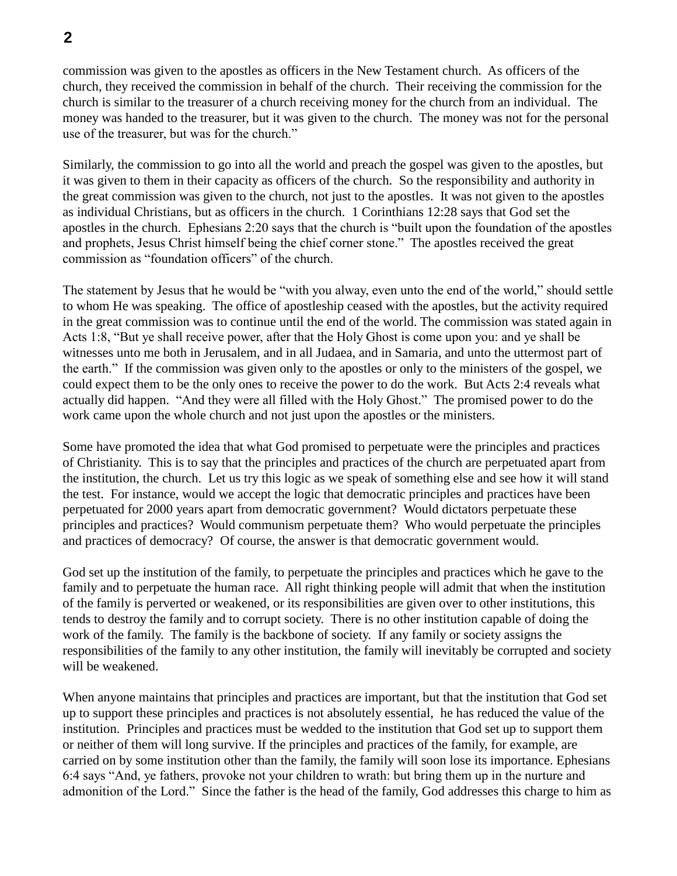commission was given to the apostles as officers in the New Testament church. As officers of the church, they received the commission in behalf of the church. Their receiving the commission for the church is similar to the treasurer of a church receiving money for the church from an individual. The money was handed to the treasurer, but it was given to the church. The money was not for the personal use of the treasurer, but was for the church."

Similarly, the commission to go into all the world and preach the gospel was given to the apostles, but it was given to them in their capacity as officers of the church. So the responsibility and authority in the great commission was given to the church, not just to the apostles. It was not given to the apostles as individual Christians, but as officers in the church. 1 Corinthians 12:28 says that God set the apostles in the church. Ephesians 2:20 says that the church is "built upon the foundation of the apostles and prophets, Jesus Christ himself being the chief corner stone." The apostles received the great commission as "foundation officers" of the church.

The statement by Jesus that he would be "with you alway, even unto the end of the world," should settle to whom He was speaking. The office of apostleship ceased with the apostles, but the activity required in the great commission was to continue until the end of the world. The commission was stated again in Acts 1:8, "But ye shall receive power, after that the Holy Ghost is come upon you: and ye shall be witnesses unto me both in Jerusalem, and in all Judaea, and in Samaria, and unto the uttermost part of the earth." If the commission was given only to the apostles or only to the ministers of the gospel, we could expect them to be the only ones to receive the power to do the work. But Acts 2:4 reveals what actually did happen. "And they were all filled with the Holy Ghost." The promised power to do the work came upon the whole church and not just upon the apostles or the ministers.

Some have promoted the idea that what God promised to perpetuate were the principles and practices of Christianity. This is to say that the principles and practices of the church are perpetuated apart from the institution, the church. Let us try this logic as we speak of something else and see how it will stand the test. For instance, would we accept the logic that democratic principles and practices have been perpetuated for 2000 years apart from democratic government? Would dictators perpetuate these principles and practices? Would communism perpetuate them? Who would perpetuate the principles and practices of democracy? Of course, the answer is that democratic government would.

God set up the institution of the family, to perpetuate the principles and practices which he gave to the family and to perpetuate the human race. All right thinking people will admit that when the institution of the family is perverted or weakened, or its responsibilities are given over to other institutions, this tends to destroy the family and to corrupt society. There is no other institution capable of doing the work of the family. The family is the backbone of society. If any family or society assigns the responsibilities of the family to any other institution, the family will inevitably be corrupted and society will be weakened.

When anyone maintains that principles and practices are important, but that the institution that God set up to support these principles and practices is not absolutely essential, he has reduced the value of the institution. Principles and practices must be wedded to the institution that God set up to support them or neither of them will long survive. If the principles and practices of the family, for example, are carried on by some institution other than the family, the family will soon lose its importance. Ephesians 6:4 says "And, ye fathers, provoke not your children to wrath: but bring them up in the nurture and admonition of the Lord." Since the father is the head of the family, God addresses this charge to him as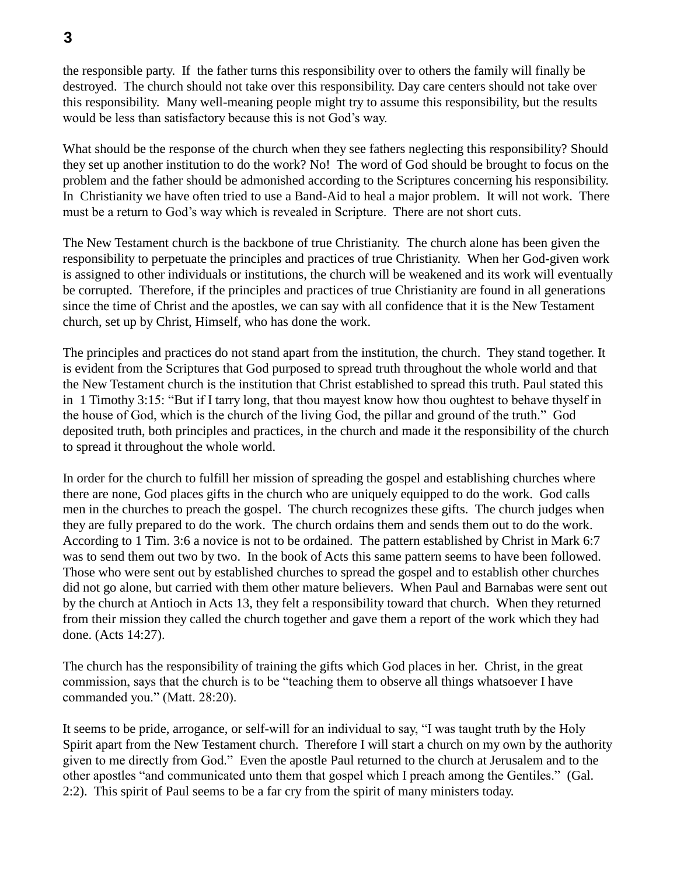the responsible party. If the father turns this responsibility over to others the family will finally be destroyed. The church should not take over this responsibility. Day care centers should not take over this responsibility. Many well-meaning people might try to assume this responsibility, but the results would be less than satisfactory because this is not God's way.

What should be the response of the church when they see fathers neglecting this responsibility? Should they set up another institution to do the work? No! The word of God should be brought to focus on the problem and the father should be admonished according to the Scriptures concerning his responsibility. In Christianity we have often tried to use a Band-Aid to heal a major problem. It will not work. There must be a return to God's way which is revealed in Scripture. There are not short cuts.

The New Testament church is the backbone of true Christianity. The church alone has been given the responsibility to perpetuate the principles and practices of true Christianity. When her God-given work is assigned to other individuals or institutions, the church will be weakened and its work will eventually be corrupted. Therefore, if the principles and practices of true Christianity are found in all generations since the time of Christ and the apostles, we can say with all confidence that it is the New Testament church, set up by Christ, Himself, who has done the work.

The principles and practices do not stand apart from the institution, the church. They stand together. It is evident from the Scriptures that God purposed to spread truth throughout the whole world and that the New Testament church is the institution that Christ established to spread this truth. Paul stated this in 1 Timothy 3:15: "But if I tarry long, that thou mayest know how thou oughtest to behave thyself in the house of God, which is the church of the living God, the pillar and ground of the truth." God deposited truth, both principles and practices, in the church and made it the responsibility of the church to spread it throughout the whole world.

In order for the church to fulfill her mission of spreading the gospel and establishing churches where there are none, God places gifts in the church who are uniquely equipped to do the work. God calls men in the churches to preach the gospel. The church recognizes these gifts. The church judges when they are fully prepared to do the work. The church ordains them and sends them out to do the work. According to 1 Tim. 3:6 a novice is not to be ordained. The pattern established by Christ in Mark 6:7 was to send them out two by two. In the book of Acts this same pattern seems to have been followed. Those who were sent out by established churches to spread the gospel and to establish other churches did not go alone, but carried with them other mature believers. When Paul and Barnabas were sent out by the church at Antioch in Acts 13, they felt a responsibility toward that church. When they returned from their mission they called the church together and gave them a report of the work which they had done. (Acts 14:27).

The church has the responsibility of training the gifts which God places in her. Christ, in the great commission, says that the church is to be "teaching them to observe all things whatsoever I have commanded you." (Matt. 28:20).

It seems to be pride, arrogance, or self-will for an individual to say, "I was taught truth by the Holy Spirit apart from the New Testament church. Therefore I will start a church on my own by the authority given to me directly from God." Even the apostle Paul returned to the church at Jerusalem and to the other apostles "and communicated unto them that gospel which I preach among the Gentiles." (Gal. 2:2). This spirit of Paul seems to be a far cry from the spirit of many ministers today.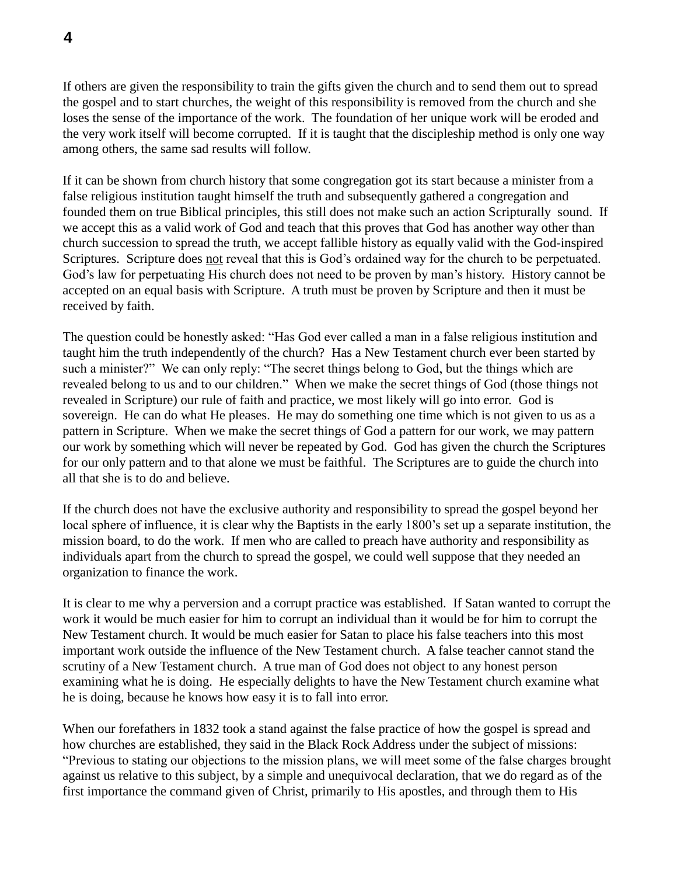If others are given the responsibility to train the gifts given the church and to send them out to spread the gospel and to start churches, the weight of this responsibility is removed from the church and she loses the sense of the importance of the work. The foundation of her unique work will be eroded and the very work itself will become corrupted. If it is taught that the discipleship method is only one way among others, the same sad results will follow.

If it can be shown from church history that some congregation got its start because a minister from a false religious institution taught himself the truth and subsequently gathered a congregation and founded them on true Biblical principles, this still does not make such an action Scripturally sound. If we accept this as a valid work of God and teach that this proves that God has another way other than church succession to spread the truth, we accept fallible history as equally valid with the God-inspired Scriptures. Scripture does not reveal that this is God's ordained way for the church to be perpetuated. God's law for perpetuating His church does not need to be proven by man's history. History cannot be accepted on an equal basis with Scripture. A truth must be proven by Scripture and then it must be received by faith.

The question could be honestly asked: "Has God ever called a man in a false religious institution and taught him the truth independently of the church? Has a New Testament church ever been started by such a minister?" We can only reply: "The secret things belong to God, but the things which are revealed belong to us and to our children." When we make the secret things of God (those things not revealed in Scripture) our rule of faith and practice, we most likely will go into error. God is sovereign. He can do what He pleases. He may do something one time which is not given to us as a pattern in Scripture. When we make the secret things of God a pattern for our work, we may pattern our work by something which will never be repeated by God. God has given the church the Scriptures for our only pattern and to that alone we must be faithful. The Scriptures are to guide the church into all that she is to do and believe.

If the church does not have the exclusive authority and responsibility to spread the gospel beyond her local sphere of influence, it is clear why the Baptists in the early 1800's set up a separate institution, the mission board, to do the work. If men who are called to preach have authority and responsibility as individuals apart from the church to spread the gospel, we could well suppose that they needed an organization to finance the work.

It is clear to me why a perversion and a corrupt practice was established. If Satan wanted to corrupt the work it would be much easier for him to corrupt an individual than it would be for him to corrupt the New Testament church. It would be much easier for Satan to place his false teachers into this most important work outside the influence of the New Testament church. A false teacher cannot stand the scrutiny of a New Testament church. A true man of God does not object to any honest person examining what he is doing. He especially delights to have the New Testament church examine what he is doing, because he knows how easy it is to fall into error.

When our forefathers in 1832 took a stand against the false practice of how the gospel is spread and how churches are established, they said in the Black Rock Address under the subject of missions: "Previous to stating our objections to the mission plans, we will meet some of the false charges brought against us relative to this subject, by a simple and unequivocal declaration, that we do regard as of the first importance the command given of Christ, primarily to His apostles, and through them to His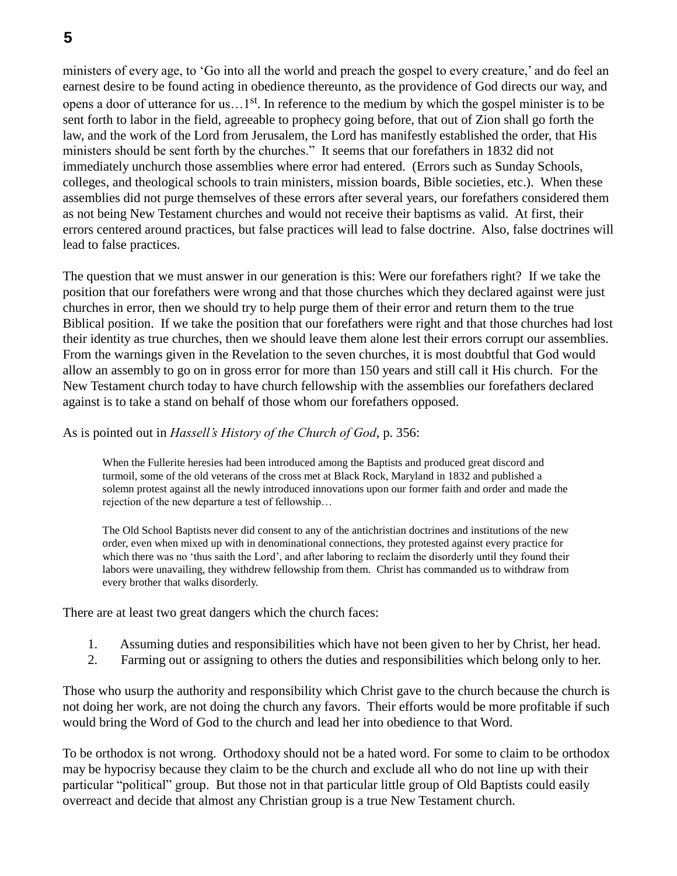ministers of every age, to 'Go into all the world and preach the gospel to every creature,' and do feel an earnest desire to be found acting in obedience thereunto, as the providence of God directs our way, and opens a door of utterance for us…1st. In reference to the medium by which the gospel minister is to be sent forth to labor in the field, agreeable to prophecy going before, that out of Zion shall go forth the law, and the work of the Lord from Jerusalem, the Lord has manifestly established the order, that His ministers should be sent forth by the churches." It seems that our forefathers in 1832 did not immediately unchurch those assemblies where error had entered. (Errors such as Sunday Schools, colleges, and theological schools to train ministers, mission boards, Bible societies, etc.). When these assemblies did not purge themselves of these errors after several years, our forefathers considered them as not being New Testament churches and would not receive their baptisms as valid. At first, their errors centered around practices, but false practices will lead to false doctrine. Also, false doctrines will lead to false practices.

The question that we must answer in our generation is this: Were our forefathers right? If we take the position that our forefathers were wrong and that those churches which they declared against were just churches in error, then we should try to help purge them of their error and return them to the true Biblical position. If we take the position that our forefathers were right and that those churches had lost their identity as true churches, then we should leave them alone lest their errors corrupt our assemblies. From the warnings given in the Revelation to the seven churches, it is most doubtful that God would allow an assembly to go on in gross error for more than 150 years and still call it His church. For the New Testament church today to have church fellowship with the assemblies our forefathers declared against is to take a stand on behalf of those whom our forefathers opposed.

## As is pointed out in *Hassell's History of the Church of God*, p. 356:

When the Fullerite heresies had been introduced among the Baptists and produced great discord and turmoil, some of the old veterans of the cross met at Black Rock, Maryland in 1832 and published a solemn protest against all the newly introduced innovations upon our former faith and order and made the rejection of the new departure a test of fellowship…

The Old School Baptists never did consent to any of the antichristian doctrines and institutions of the new order, even when mixed up with in denominational connections, they protested against every practice for which there was no 'thus saith the Lord', and after laboring to reclaim the disorderly until they found their labors were unavailing, they withdrew fellowship from them. Christ has commanded us to withdraw from every brother that walks disorderly.

There are at least two great dangers which the church faces:

- 1. Assuming duties and responsibilities which have not been given to her by Christ, her head.
- 2. Farming out or assigning to others the duties and responsibilities which belong only to her.

Those who usurp the authority and responsibility which Christ gave to the church because the church is not doing her work, are not doing the church any favors. Their efforts would be more profitable if such would bring the Word of God to the church and lead her into obedience to that Word.

To be orthodox is not wrong. Orthodoxy should not be a hated word. For some to claim to be orthodox may be hypocrisy because they claim to be the church and exclude all who do not line up with their particular "political" group. But those not in that particular little group of Old Baptists could easily overreact and decide that almost any Christian group is a true New Testament church.